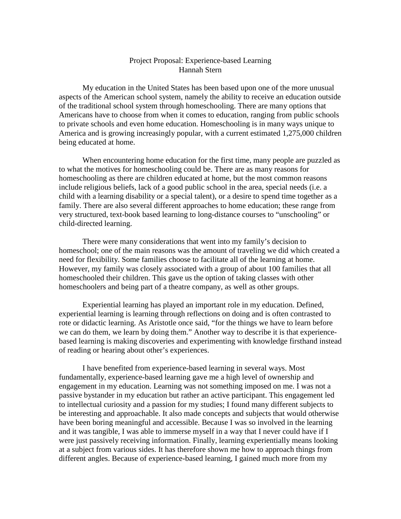## Project Proposal: Experience-based Learning Hannah Stern

My education in the United States has been based upon one of the more unusual aspects of the American school system, namely the ability to receive an education outside of the traditional school system through homeschooling. There are many options that Americans have to choose from when it comes to education, ranging from public schools to private schools and even home education. Homeschooling is in many ways unique to America and is growing increasingly popular, with a current estimated 1,275,000 children being educated at home.

When encountering home education for the first time, many people are puzzled as to what the motives for homeschooling could be. There are as many reasons for homeschooling as there are children educated at home, but the most common reasons include religious beliefs, lack of a good public school in the area, special needs (i.e. a child with a learning disability or a special talent), or a desire to spend time together as a family. There are also several different approaches to home education; these range from very structured, text-book based learning to long-distance courses to "unschooling" or child-directed learning.

There were many considerations that went into my family's decision to homeschool; one of the main reasons was the amount of traveling we did which created a need for flexibility. Some families choose to facilitate all of the learning at home. However, my family was closely associated with a group of about 100 families that all homeschooled their children. This gave us the option of taking classes with other homeschoolers and being part of a theatre company, as well as other groups.

Experiential learning has played an important role in my education. Defined, experiential learning is learning through reflections on doing and is often contrasted to rote or didactic learning. As Aristotle once said, "for the things we have to learn before we can do them, we learn by doing them." Another way to describe it is that experiencebased learning is making discoveries and experimenting with knowledge firsthand instead of reading or hearing about other's experiences.

I have benefited from experience-based learning in several ways. Most fundamentally, experience-based learning gave me a high level of ownership and engagement in my education. Learning was not something imposed on me. I was not a passive bystander in my education but rather an active participant. This engagement led to intellectual curiosity and a passion for my studies; I found many different subjects to be interesting and approachable. It also made concepts and subjects that would otherwise have been boring meaningful and accessible. Because I was so involved in the learning and it was tangible, I was able to immerse myself in a way that I never could have if I were just passively receiving information. Finally, learning experientially means looking at a subject from various sides. It has therefore shown me how to approach things from different angles. Because of experience-based learning, I gained much more from my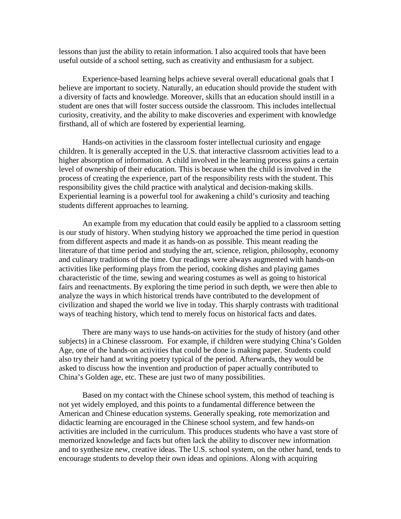lessons than just the ability to retain information. I also acquired tools that have been useful outside of a school setting, such as creativity and enthusiasm for a subject.

Experience-based learning helps achieve several overall educational goals that I believe are important to society. Naturally, an education should provide the student with a diversity of facts and knowledge. Moreover, skills that an education should instill in a student are ones that will foster success outside the classroom. This includes intellectual curiosity, creativity, and the ability to make discoveries and experiment with knowledge firsthand, all of which are fostered by experiential learning.

Hands-on activities in the classroom foster intellectual curiosity and engage children. It is generally accepted in the U.S. that interactive classroom activities lead to a higher absorption of information. A child involved in the learning process gains a certain level of ownership of their education. This is because when the child is involved in the process of creating the experience, part of the responsibility rests with the student. This responsibility gives the child practice with analytical and decision-making skills. Experiential learning is a powerful tool for awakening a child's curiosity and teaching students different approaches to learning.

An example from my education that could easily be applied to a classroom setting is our study of history. When studying history we approached the time period in question from different aspects and made it as hands-on as possible. This meant reading the literature of that time period and studying the art, science, religion, philosophy, economy and culinary traditions of the time. Our readings were always augmented with hands-on activities like performing plays from the period, cooking dishes and playing games characteristic of the time, sewing and wearing costumes as well as going to historical fairs and reenactments. By exploring the time period in such depth, we were then able to analyze the ways in which historical trends have contributed to the development of civilization and shaped the world we live in today. This sharply contrasts with traditional ways of teaching history, which tend to merely focus on historical facts and dates.

There are many ways to use hands-on activities for the study of history (and other subjects) in a Chinese classroom. For example, if children were studying China's Golden Age, one of the hands-on activities that could be done is making paper. Students could also try their hand at writing poetry typical of the period. Afterwards, they would be asked to discuss how the invention and production of paper actually contributed to China's Golden age, etc. These are just two of many possibilities.

Based on my contact with the Chinese school system, this method of teaching is not yet widely employed, and this points to a fundamental difference between the American and Chinese education systems. Generally speaking, rote memorization and didactic learning are encouraged in the Chinese school system, and few hands-on activities are included in the curriculum. This produces students who have a vast store of memorized knowledge and facts but often lack the ability to discover new information and to synthesize new, creative ideas. The U.S. school system, on the other hand, tends to encourage students to develop their own ideas and opinions. Along with acquiring